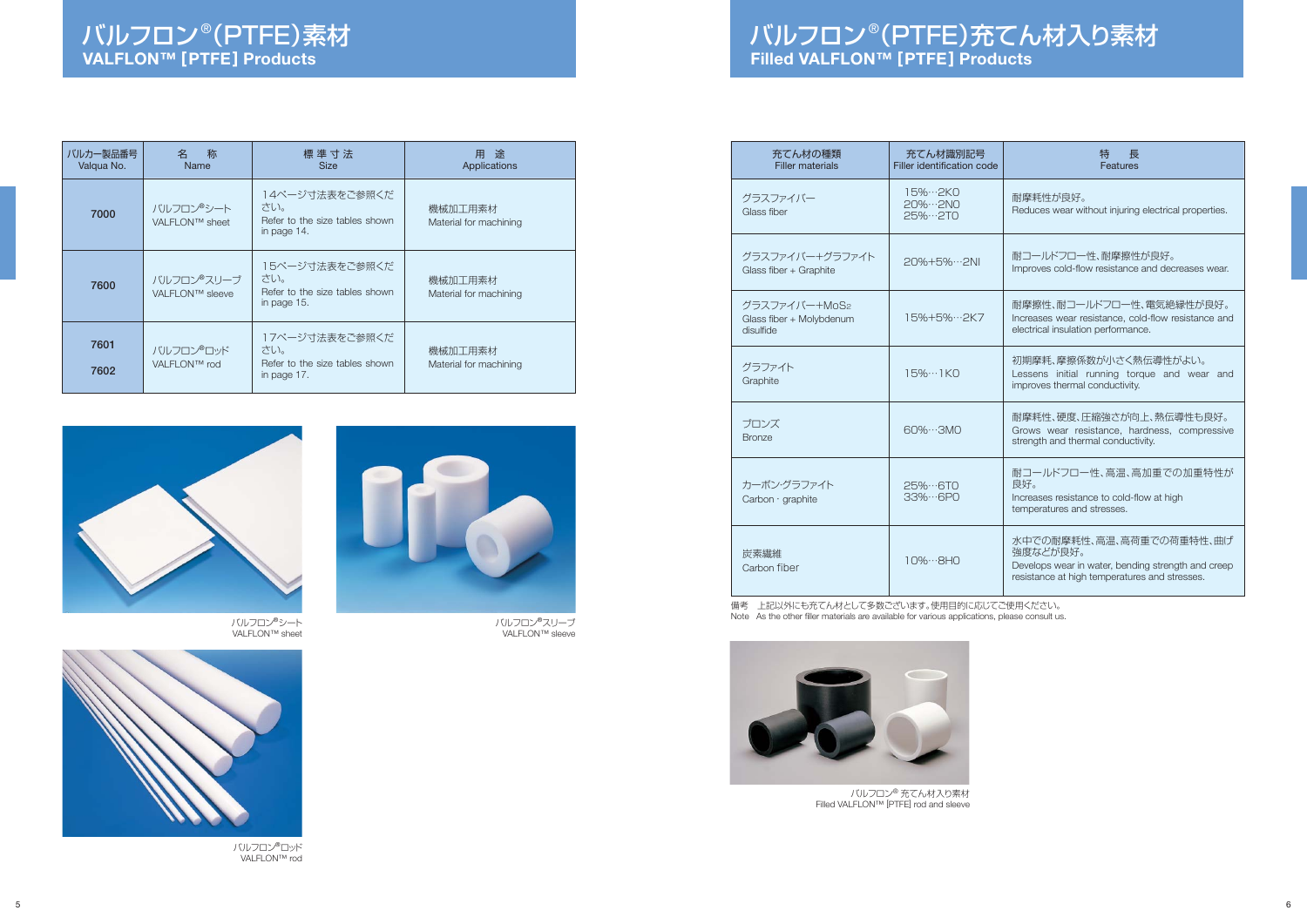## バルフロン®(PTFE)充てん材入り素材 **Filled VALFLON™ [PTFE] Products**



バルフロン®シートVALFLON™ sheet

|--|

バルフロン®スリーブVALFLON™ sleeve



バルフロン®ロッドVALFLON™ rod

| バルカー製品番号<br>Valqua No. | 称<br>名<br><b>Name</b>         | 標 準 寸 法<br><b>Size</b>                                                 | 途<br>用<br>Applications            |
|------------------------|-------------------------------|------------------------------------------------------------------------|-----------------------------------|
| 7000                   | バルフロン®シート<br>VALFLON™ sheet   | 14ページ寸法表をご参照くだ<br>さい。<br>Refer to the size tables shown<br>in page 14. | 機械加工用素材<br>Material for machining |
| 7600                   | バルフロン®スリーブ<br>VALFLON™ sleeve | 15ページ寸法表をご参照くだ<br>さい。<br>Refer to the size tables shown<br>in page 15. | 機械加工用素材<br>Material for machining |
| 7601<br>7602           | バルフロン®ロッド<br>VALFLON™ rod     | 17ページ寸法表をご参照くだ<br>さい。<br>Refer to the size tables shown<br>in page 17. | 機械加工用素材<br>Material for machining |

| 充てん材の種類<br><b>Filler materials</b>                     | 充てん材識別記号<br><b>Filler identification code</b> | 特<br>長<br>Features                                                                                                                          |
|--------------------------------------------------------|-----------------------------------------------|---------------------------------------------------------------------------------------------------------------------------------------------|
| グラスファイバー<br>Glass fiber                                | 15%…2KO<br>20%…2NO<br>$25\%2TO$               | 耐摩耗性が良好。<br>Reduces wear without injuring electrical properties.                                                                            |
| グラスファイバー+グラファイト<br>Glass fiber + Graphite              | 20%+5%…2NI                                    | 耐コールドフロー性、耐摩擦性が良好。<br>Improves cold-flow resistance and decreases wear.                                                                     |
| グラスファイバー+MoS2<br>Glass fiber + Molybdenum<br>disulfide | 15%+5%…2K7                                    | 耐摩擦性、耐コールドフロー性、電気絶縁性が良好。<br>Increases wear resistance, cold-flow resistance and<br>electrical insulation performance.                       |
| グラファイト<br>Graphite                                     | $15\% \cdots$ IKO                             | 初期摩耗、摩擦係数が小さく熱伝導性がよい。<br>Lessens initial running torque and wear and<br>improves thermal conductivity.                                      |
| ブロンズ<br><b>Bronze</b>                                  | $60\%3MO$                                     | 耐摩耗性、硬度、圧縮強さが向上、熱伝導性も良好。<br>Grows wear resistance, hardness, compressive<br>strength and thermal conductivity.                              |
| カーボン・グラファイト<br>Carbon · graphite                       | 25% ··· 6TO<br>33%…6PO                        | 耐コールドフロー性、高温、高加重での加重特性が<br>良好。<br>Increases resistance to cold-flow at high<br>temperatures and stresses.                                   |
| 炭素繊維<br>Carbon fiber                                   | $10\%8H0$                                     | 水中での耐摩耗性、高温、高荷重での荷重特性、曲げ<br>強度などが良好。<br>Develops wear in water, bending strength and creep<br>resistance at high temperatures and stresses. |

備考 上記以外にも充てん材として多数ございます。使用目的に応じてご使用ください。Note As the other filler materials are available for various applications, please consult us.



バルフロン® 充てん材入り素材Filled VALFLON™ [PTFE] rod and sleeve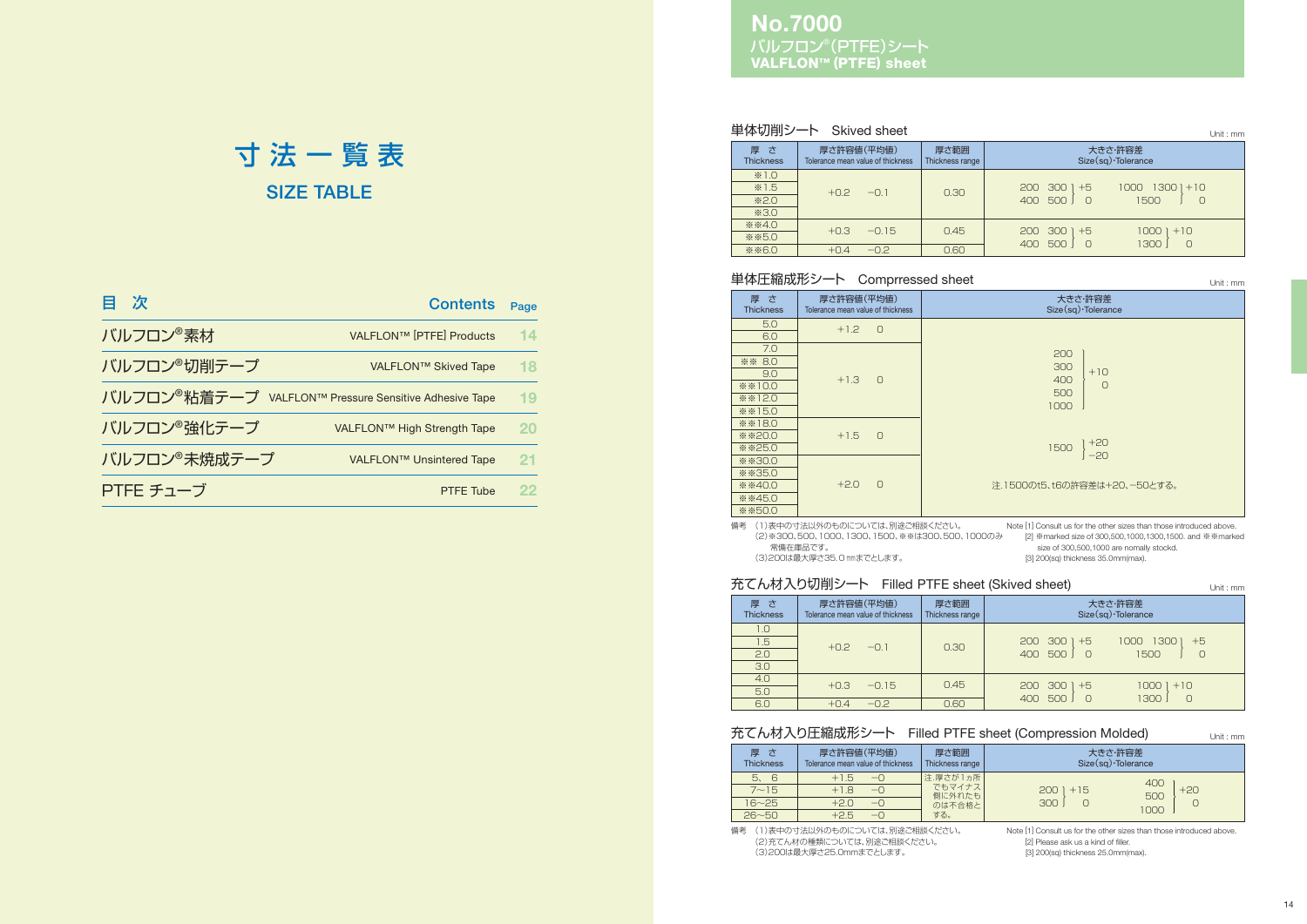### バルフロン®(PTFE)シート **VALFLON™ (PTFE) sheet No.7000**

| 次            | <b>Contents</b>                                                    | Page |
|--------------|--------------------------------------------------------------------|------|
| バルフロン®素材     | VALFLON™ [PTFE] Products                                           | 14   |
| バルフロン®切削テープ  | VALFLON™ Skived Tape                                               | 18   |
|              | バルフロン <sup>®</sup> 粘着テープ VALFLON™ Pressure Sensitive Adhesive Tape | 19   |
| バルフロン®強化テープ  | VALFLON™ High Strength Tape                                        | 20   |
| バルフロン®未焼成テープ | VALFLON™ Unsintered Tape                                           | 21   |
| PTFE チューブ    | <b>PTFE Tube</b>                                                   | 22   |
|              |                                                                    |      |

# **SIZE TABLE**寸 法 一 覧 表

Unit : mm

#### 単体切削シート Skived sheet

| 厚さ<br><b>Thickness</b> | 厚さ許容値(平均値)<br>Tolerance mean value of thickness | 厚さ範囲<br>Thickness range | 大きさ・許容差<br>$Size(sq)$ Tolerance               |  |  |  |  |  |  |  |  |  |  |  |                                  |
|------------------------|-------------------------------------------------|-------------------------|-----------------------------------------------|--|--|--|--|--|--|--|--|--|--|--|----------------------------------|
| $*1.0$                 |                                                 |                         |                                               |  |  |  |  |  |  |  |  |  |  |  |                                  |
| $*1.5$                 | $+0.2$<br>$-01$                                 | 0.30                    | -300<br>13001<br>200<br>$+5$<br>1000<br>$+10$ |  |  |  |  |  |  |  |  |  |  |  |                                  |
| $*2.0$                 |                                                 |                         |                                               |  |  |  |  |  |  |  |  |  |  |  | 500<br>1500<br>$\bigcirc$<br>400 |
| *3.0                   |                                                 |                         |                                               |  |  |  |  |  |  |  |  |  |  |  |                                  |
| <b>※※4.0</b>           | $+0.3$<br>$-0.15$                               | 0.45                    | 300<br>$+10$<br>200<br>$+5$<br>1000           |  |  |  |  |  |  |  |  |  |  |  |                                  |
| <b>※※5.0</b>           |                                                 |                         | 1300<br>500<br>400                            |  |  |  |  |  |  |  |  |  |  |  |                                  |
| <b>※※6.0</b>           | $+0.4$<br>$-0.2$                                | 0.60                    | $\bigcirc$                                    |  |  |  |  |  |  |  |  |  |  |  |                                  |

#### 充てん材入り切削シート Filled PTFE sheet (Skived sheet)

| 『L'UNW ハリツ刑ノー』' Filled FIFE STIEBL (SKIVBU STIBBL)<br>Unit: mm |                                                 |                         |                                            |  |  |  |  |  |  |                                            |  |  |  |
|----------------------------------------------------------------|-------------------------------------------------|-------------------------|--------------------------------------------|--|--|--|--|--|--|--------------------------------------------|--|--|--|
| 厚さ<br><b>Thickness</b>                                         | 厚さ許容値(平均値)<br>Tolerance mean value of thickness | 厚さ範囲<br>Thickness range | 大きさ・許容差<br>$Size(sq)$ Tolerance            |  |  |  |  |  |  |                                            |  |  |  |
| 1.0                                                            |                                                 |                         |                                            |  |  |  |  |  |  |                                            |  |  |  |
| 1.5                                                            | $+0.2$<br>$-01$                                 | 0.30                    | 300<br>1000<br>1300<br>200<br>$+5$<br>$+5$ |  |  |  |  |  |  |                                            |  |  |  |
| 2.0                                                            |                                                 |                         |                                            |  |  |  |  |  |  | $\bigcirc$<br>1500<br>400<br>500<br>$\cap$ |  |  |  |
| 3.0                                                            |                                                 |                         |                                            |  |  |  |  |  |  |                                            |  |  |  |
| 4.0                                                            | $+0.3$<br>$-0.15$                               | 0.45                    | 300<br>200<br>10001<br>$+10$<br>$+5$       |  |  |  |  |  |  |                                            |  |  |  |
| 5.0                                                            |                                                 |                         | 1300<br>500<br>400<br>$\Omega$             |  |  |  |  |  |  |                                            |  |  |  |
| 6.0                                                            | $+0.4$<br>$-0.2$                                | 0.60                    |                                            |  |  |  |  |  |  |                                            |  |  |  |

Unit : mm

#### 充てん材入り圧縮成形シート Filled PTFE sheet (Compression Molded)

Unit : mm

#### 単体圧縮成形シート Comprressed sheet

| 厚さ<br><b>Thickness</b> | 厚さ許容値(平均値)<br>Tolerance mean value of thickness | 大きさ・許容差<br>Size(sq) · Tolerance |
|------------------------|-------------------------------------------------|---------------------------------|
| 5.0                    | $+1.2$<br>$\bigcirc$                            |                                 |
| 6.0                    |                                                 |                                 |
| 7.0                    |                                                 | 200                             |
| <b>※※ 8.0</b>          |                                                 | 300                             |
| 9.0                    | $+1.3$<br>$\Omega$                              | $+10$<br>400                    |
| <b>※※10.0</b>          |                                                 | $\circ$                         |
| ※※12.0                 |                                                 | 500                             |
| $*$ * 15.0             |                                                 | 1000                            |
| ※※18.0                 |                                                 |                                 |
| <b>**20.0</b>          | $+1.5$<br>$\Omega$                              |                                 |
| <b>**25.0</b>          |                                                 | $+20$<br>1500                   |
| <b>**30.0</b>          |                                                 | $-20$                           |
| <b>**35.0</b>          |                                                 |                                 |
| ※※40.0                 | $\Omega$<br>$+2.0$                              | 注.1500のt5、t6の許容差は+20、ー50とする。    |
| <b>※※45.0</b>          |                                                 |                                 |
| <b>**50.0</b>          |                                                 |                                 |

| 厚さ<br><b>Thickness</b> | 厚さ許容値(平均値)<br>Tolerance mean value of thickness | 厚さ範囲<br>Thickness range | 大きさ・許容差<br>$Size(sq)$ Tolerance |
|------------------------|-------------------------------------------------|-------------------------|---------------------------------|
| 5, 6                   | $+1.5$<br>$-\cap$                               | 注.厚さが1ヵ所                | 400                             |
| $7 - 15$               | $+1.8$<br>$-\Omega$                             | でもマイナス<br>側に外れたも        | $+20$<br>$2001 + 15$<br>500     |
| $16 - 25$              | $+2.0$<br>$\neg$                                | のは不合格と                  | 300<br>1000                     |
| $26 - 50$              | $+2.5$<br>$-1$                                  | する。                     |                                 |

備考 (1)表中の寸法以外のものについては、別途ご相談ください。常備在庫品です。

(3)200は最大厚さ35.0mmまでとします。

 (2)※300、500、1000、1300、1500、※※は300、500、1000のみ [2] ※marked size of 300,500,1000,1300,1500. and ※※marked Note [1] Consult us for the other sizes than those introduced above. size of 300,500,1000 are nomally stockd. [3] 200(sq) thickness 35.0mm(max).

備考 (1)表中の寸法以外のものについては、別途ご相談ください。 (2)充てん材の種類については、別途ご相談ください。 (3)200は最大厚さ25.0mmまでとします。

Note [1] Consult us for the other sizes than those introduced above. [2] Please ask us a kind of filler.

[3] 200(sq) thickness 25.0mm(max).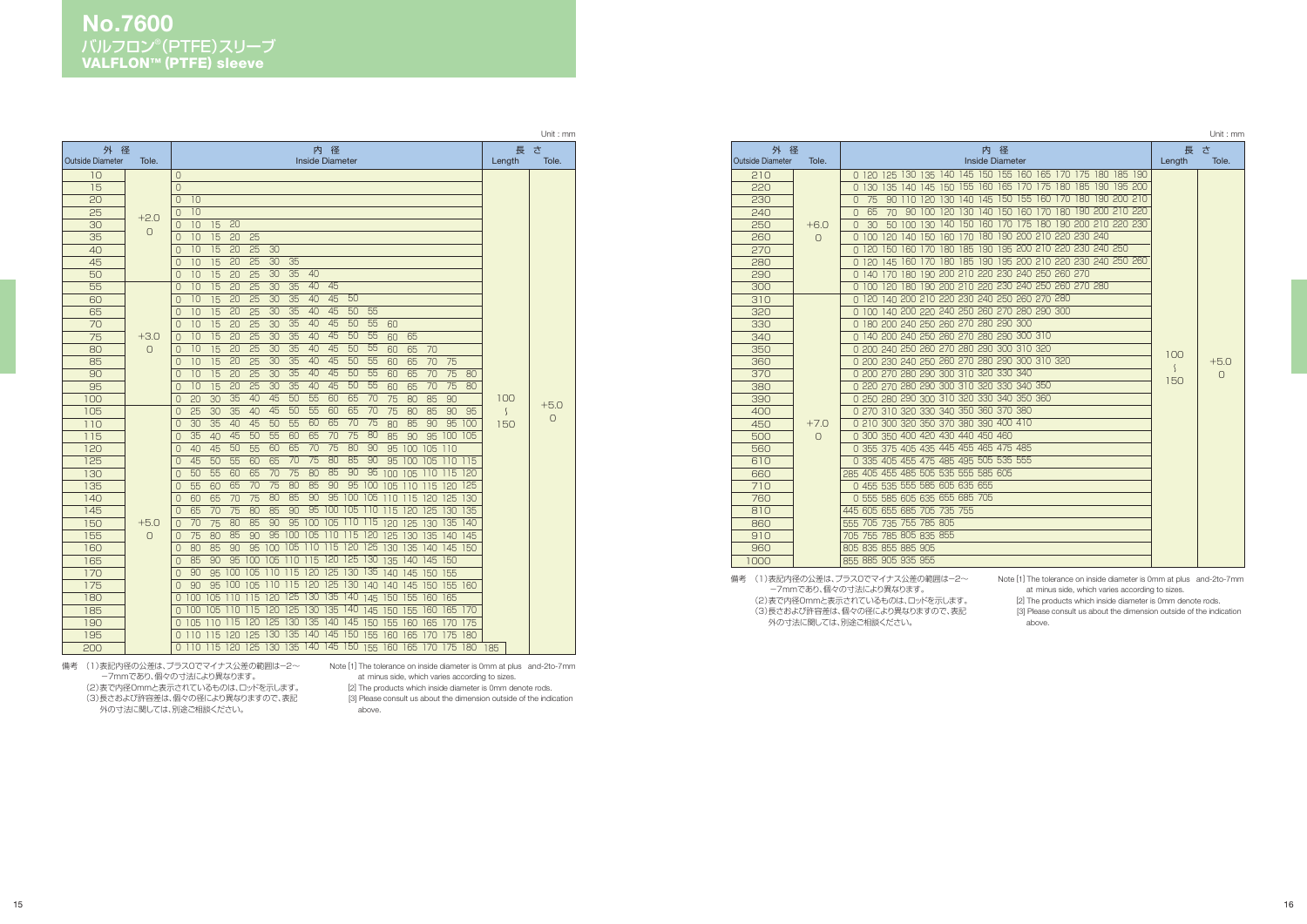## バルフロン®(PTFE)スリーブ **VALFLON™ (PTFE) sleeve No.7600**

備考 (1)表記内径の公差は、プラス0でマイナス公差の範囲は―2~ -7mmであり、個々の寸法により異なります。 (2)表で内径0mmと表示されているものは、ロッドを示します。 (3)長さおよび許容差は、個々の径により異なりますので、表記 外の寸法に関しては、別途ご相談ください。

|                         |            |                      |                                                                   |                 |                 |                  |                  |                  |                        |                  |           |         |     |                 |                  |     |         | Unit: mm   |
|-------------------------|------------|----------------------|-------------------------------------------------------------------|-----------------|-----------------|------------------|------------------|------------------|------------------------|------------------|-----------|---------|-----|-----------------|------------------|-----|---------|------------|
| 外<br>径                  |            |                      |                                                                   |                 |                 |                  |                  | 内                | 径                      |                  |           |         |     |                 |                  |     | 長       | さ          |
| <b>Outside Diameter</b> | Tole.      |                      |                                                                   |                 |                 |                  |                  |                  | <b>Inside Diameter</b> |                  |           |         |     |                 |                  |     | Length  | Tole.      |
| 10                      |            | $\circ$              |                                                                   |                 |                 |                  |                  |                  |                        |                  |           |         |     |                 |                  |     |         |            |
| 15                      |            | $\Omega$             |                                                                   |                 |                 |                  |                  |                  |                        |                  |           |         |     |                 |                  |     |         |            |
| 20                      |            | 10<br>$\Omega$       |                                                                   |                 |                 |                  |                  |                  |                        |                  |           |         |     |                 |                  |     |         |            |
| 25                      | $+2.0$     | 10<br>$\overline{0}$ |                                                                   |                 |                 |                  |                  |                  |                        |                  |           |         |     |                 |                  |     |         |            |
| 30                      | $\bigcirc$ | 10<br>$\Omega$       | 15                                                                | 20              |                 |                  |                  |                  |                        |                  |           |         |     |                 |                  |     |         |            |
| 35                      |            | $\Omega$<br>10       | 15                                                                | 20              | 25              |                  |                  |                  |                        |                  |           |         |     |                 |                  |     |         |            |
| 40                      |            | 10<br>$\bigcap$      | 15                                                                | 20              | 25              | 30               |                  |                  |                        |                  |           |         |     |                 |                  |     |         |            |
| 45                      |            | 10<br>$\Omega$       | 15                                                                | 20              | 25              | 30               | $\overline{35}$  |                  |                        |                  |           |         |     |                 |                  |     |         |            |
| 50                      |            | 10<br>$\overline{0}$ | 15                                                                | 20              | 25              | $\overline{30}$  | $\overline{35}$  | 40               |                        |                  |           |         |     |                 |                  |     |         |            |
| 55                      |            | 10<br>$\overline{0}$ | 15                                                                | 20              | 25              | 30               | 35               | 40               | 45                     |                  |           |         |     |                 |                  |     |         |            |
| 60                      |            | 10<br>$\overline{0}$ | 15                                                                | $\overline{20}$ | $\overline{25}$ | 30               | $\overline{35}$  | 40               | 45                     | 50               |           |         |     |                 |                  |     |         |            |
| 65                      |            | 10<br>$\overline{0}$ | 15                                                                | 20              | 25              | $\overline{30}$  | $\overline{35}$  | 40               | 45                     | 50               | 55        |         |     |                 |                  |     |         |            |
| 70                      |            | 10<br>$\Omega$       | 15                                                                | 20              | 25              | $\overline{30}$  | $\overline{35}$  | 40               | 45                     | $\overline{50}$  | 55        | 60      |     |                 |                  |     |         |            |
| 75                      | $+3.0$     | 10<br>0              | 15                                                                | 20              | 25              | 30               | $\overline{35}$  | 40               | 45                     | 50               | 55        | 60      | 65  |                 |                  |     |         |            |
| 80                      | O          | 10<br>$\Omega$       | 15                                                                | 20              | 25              | 30               | 35               | 40               | 45                     | 50               | 55        | 60      | 65  | 70              |                  |     |         |            |
| 85                      |            | 10<br>$\Omega$       | 15                                                                | 20              | 25              | 30               | $\overline{35}$  | 40               | 45                     | 50               | 55        | 60      | 65  | 70              | 75               |     |         |            |
| 90                      |            | 10<br>$\Omega$       | 15                                                                | 20              | 25              | 30               | $\overline{35}$  | 40               | $\overline{45}$        | $\overline{50}$  | 55        | 60      | 65  | 70              | 75               | 80  |         |            |
| 95                      |            | 10<br>0              | 15                                                                | 20              | 25              | $\overline{30}$  | $\overline{35}$  | 40               | 45                     | 50               | 55        | 60      | 65  | 70              | 75               | 80  |         |            |
| 100                     |            | 20<br>$\Omega$       | 30                                                                | 35              | 40              | 45               | 50               | 55               | 60                     | 65               | 70        | 75      | 80  | 85              | 90               |     | 100     | $+5.0$     |
| 105                     |            | 25<br>$\Omega$       | 30                                                                | 35              | 40              | 45               | 50               | 55               | 60                     | 65               | 70        | 75      | 80  | 85              | 90               | 95  | $\zeta$ | $\bigcirc$ |
| 110                     |            | 30<br>$\Omega$       | 35                                                                | 40              | 45              | 50               | 55               | 60               | 65                     | $\overline{70}$  | 75        | 80      | 85  | 90              | 95               | 100 | 150     |            |
| 115                     |            | 35<br>$\overline{0}$ | 40                                                                | 45              | 50              | 55               | 60               | 65               | $\overline{70}$        | 75               | 80        | 85      | 90  |                 | 95 100 105       |     |         |            |
| 120                     |            | 40<br>0              | 45                                                                | 50              | 55              | 60               | 65               | $\overline{70}$  | $\overline{75}$        | 80               | 90        | 95      | 100 | 105 110         |                  |     |         |            |
| 125                     |            | 45<br>$\Omega$       | 50                                                                | 55              | 60              | 65               | $\overline{70}$  | 75               | 80                     | 85               | 90        | 95      | 100 | 105             | 110              | 115 |         |            |
| 130                     |            | 50<br>$\Omega$       | 55                                                                | 60              | 65              | $\overline{70}$  | $\overline{75}$  | $\overline{80}$  | $\overline{85}$        | 90               | 95        | 100     | 105 | 110             | 115              | 120 |         |            |
| 135                     |            | 55<br>$\bigcap$      | 60                                                                | 65              | 70              | $\overline{75}$  | 80               | 85               | $\overline{90}$        | 95               | 100       | 105     | 110 | 115 120         |                  | 125 |         |            |
| 140                     |            | 60<br>0              | 65                                                                | 70              | 75              | $\overline{80}$  | 85               | 90               | $\overline{95}$        | 100              | $105$ 110 |         | 115 | 120             | 125              | 130 |         |            |
| 145                     |            | 65<br>$\Omega$       | 70                                                                | 75              | 80              | 85               | 90               |                  | 95 100                 | 105              | 110       | 115 120 |     | 125 130         |                  | 135 |         |            |
| 150                     | $+5.0$     | 70<br>$\Omega$       | 75                                                                | 80              | 85              | 90               | 95               | 100 105          |                        | 110              | 115       | 120     | 125 | 130             | 135              | 140 |         |            |
| 155                     | $\bigcirc$ | 75<br>$\Omega$       | 80                                                                | 85              | 90              | 95               | 100              | 105              | 110                    | 115              | 120       | 125     | 130 | 135             | $\overline{140}$ | 145 |         |            |
| 160                     |            | 80<br>0              | 85                                                                | 90              | 95              | 100              | 105              | 110              | 115                    | 120 125          |           | 130     | 135 |                 | 140 145 150      |     |         |            |
| 165                     |            | 85<br>0              | 90                                                                | 95              | 100             | 105              | 110              | 115 120          |                        | 125              | 130       | 135     | 140 | 145 150         |                  |     |         |            |
| 170                     |            | 90<br>$\Omega$       | 95                                                                | 100             | 105             | 110              | 115              | 120              | $\overline{125}$       | 130              | 135       | 140     | 145 | 150             | 155              |     |         |            |
| 175                     |            | 90<br>$\bigcap$      | 95                                                                | 100             | 105             | 110              | 15               | 120              | 125                    | 130              | 140       | 140     | 145 | 150             | 155              | 160 |         |            |
| 180                     |            | 100<br>$\Omega$      | 105                                                               | 110             | 115             | 120              | 125              | 130              | $\overline{135}$       | 140              | 145       | 150     | 155 | 160             | 165              |     |         |            |
| 185                     |            | 100<br>0             | 105                                                               | 110             | 115             | 120              | 125              | 130              | $\overline{135}$       | 140              | 145       | 150     | 155 | 160             | 165              | 170 |         |            |
| 190                     |            | 105<br>$\bigcap$     | 110                                                               | 115             | 120             | $\overline{125}$ | $\overline{130}$ | $\overline{135}$ | $\overline{140}$       | $\overline{145}$ | 150       | 155 160 |     | 165 170         |                  | 175 |         |            |
| 195                     |            |                      | 0 110 115                                                         | 120             | 125             |                  | 130 135          | 140 145          |                        | 150              | 155       |         |     | 160 165 170 175 |                  | 180 |         |            |
| 200                     |            |                      | 0 110 115 120 125 130 135 140 145 150 155 160 165 170 175 180 185 |                 |                 |                  |                  |                  |                        |                  |           |         |     |                 |                  |     |         |            |

Note [1] The tolerance on inside diameter is 0mm at plus and-2to-7mm at minus side, which varies according to sizes.

備考 (1)表記内径の公差は、プラス0でマイナス公差の範囲は−2~ -7mmであり、個々の寸法により異なります。 (2)表で内径0mmと表示されているものは、ロッドを示します。 (3)長さおよび許容差は、個々の径により異なりますので、表記 外の寸法に関しては、別途ご相談ください。

[2] The products which inside diameter is 0mm denote rods. [3] Please consult us about the dimension outside of the indication

above.

Note [1] The tolerance on inside diameter is 0mm at plus and-2to-7mm at minus side, which varies according to sizes.

[2] The products which inside diameter is 0mm denote rods.

[3] Please consult us about the dimension outside of the indication above.

Unit : mm

| 外径<br><b>Outside Diameter</b> | Tole.     | 内径<br><b>Inside Diameter</b>                                                            | 長さ<br>Length                | Tole.      |
|-------------------------------|-----------|-----------------------------------------------------------------------------------------|-----------------------------|------------|
| 210                           |           | 0 120 125 130 135 140 145 150 155 160 165 170 175 180 185 190                           |                             |            |
| 220                           |           | 140 145 150 155 160 165 170 175 180 185 190 195 200<br>0130<br>135                      |                             |            |
| 230                           |           | 150 155<br>160 170 180 190 200 210<br>130 140 145<br>110 120<br>75<br>90<br>$\bigcap$   |                             |            |
| 240                           |           | 180 190 200 210 220<br>160<br>120 130 140 150<br>170<br>65<br>90 100<br>70<br>$\bigcap$ |                             |            |
| 250                           | $+6.0$    | 100 130 140 150 160 170 175 180 190 200 210 220 230<br>30<br>50<br>0                    |                             |            |
| 260                           | $\bigcap$ | 140 150 160 170 180 190 200 210 220 230 240<br>0.100<br>120                             |                             |            |
| 270                           |           | 160 170 180 185 190 195 200 210 220 230 240 250<br>150<br>0.120                         |                             |            |
| 280                           |           | 160 170 180 185 190 195 200 210 220 230 240 250 260<br>0.120<br>145                     |                             |            |
| 290                           |           | 180 190 200 210 220 230 240 250 260 270<br>0.140<br>170                                 |                             |            |
| 300                           |           | 180 190 200 210 220 230 240 250 260 270 280<br>120<br>N 100                             |                             |            |
| 310                           |           | 140 200 210 220 230 240 250 260 270 280<br>0 120                                        |                             |            |
| 320                           |           | 140 200 220 240 250 260 270 280 290 300<br>0.100                                        |                             |            |
| 330                           |           | 0 180 200 240 250 260 270 280 290 300                                                   |                             |            |
| 340                           |           | 0 140 200 240 250 260 270 280 290 300 310                                               |                             |            |
| 350                           |           | 0 200 240 250 260 270 280 290 300 310 320                                               | 100                         |            |
| 360                           |           | 0 200 230 240 250 260 270 280 290 300 310 320                                           |                             | $+5.0$     |
| 370                           |           | 0 200 270 280 290 300 310 320 330 340                                                   | $\mathcal{L}_{\mathcal{L}}$ | $\bigcirc$ |
| 380                           |           | 0 220 270 280 290 300 310 320 330 340 350                                               | 150                         |            |
| 390                           |           | 0 250 280 290 300 310 320 330 340 350 360                                               |                             |            |
| 400                           |           | 0 270 310 320 330 340 350 360 370 380                                                   |                             |            |
| 450                           | $+7.0$    | 0 210 300 320 350 370 380 390 400 410                                                   |                             |            |
| 500                           | $\Omega$  | 0 300 350 400 420 430 440 450 460                                                       |                             |            |
| 560                           |           | 0 355 375 405 435 445 455 465 475 485                                                   |                             |            |
| 610                           |           | 0 335 405 455 475 485 495 505 535 555                                                   |                             |            |
| 660                           |           | 285 405 455 485 505 535 555 585 605                                                     |                             |            |
| 710                           |           | 0 455 535 555 585 605 635 655                                                           |                             |            |
| 760                           |           | 0 555 585 605 635 655 685 705                                                           |                             |            |
| 810                           |           | 445 605 655 685 705 735 755                                                             |                             |            |
| 860                           |           | 555 705 735 755 785 805                                                                 |                             |            |
| 910                           |           | 705 755 785 805 835 855                                                                 |                             |            |
| 960                           |           | 805 835 855 885 905                                                                     |                             |            |
| 1000                          |           | 855 885 905 935 955                                                                     |                             |            |